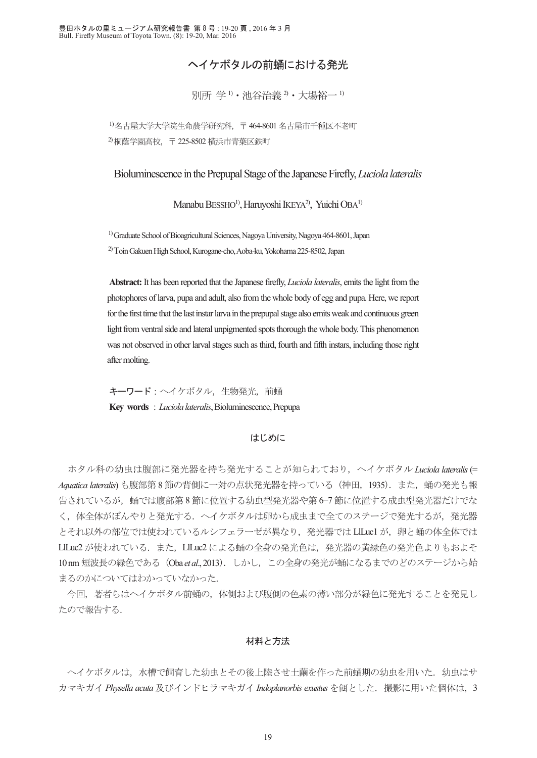# ヘイケボタルの前蛹における発光

別所 学 1) · 池谷治義 2) · 大場裕一 1)

1) 名古屋大学大学院生命農学研究科,〒 464-8601 名古屋市千種区不老町 2) 桐蔭学園高校,〒 225-8502 横浜市青葉区鉄町

Bioluminescence in the Prepupal Stage of the Japanese Firefly, *Luciola lateralis*

Manabu BESSHO<sup>1)</sup>, Haruyoshi IKEYA<sup>2)</sup>, Yuichi OBA<sup>1)</sup>

1) Graduate School of Bioagricultural Sciences, Nagoya University, Nagoya 464-8601, Japan 2) Toin Gakuen High School, Kurogane-cho, Aoba-ku, Yokohama 225-8502, Japan

**Abstract:** It has been reported that the Japanese firefly, *Luciola lateralis*, emits the light from the photophores of larva, pupa and adult, also from the whole body of egg and pupa. Here, we report for the first time that the last instar larva in the prepupal stage also emits weak and continuous green light from ventral side and lateral unpigmented spots thorough the whole body. This phenomenon was not observed in other larval stages such as third, fourth and fifth instars, including those right after molting.

キーワード:ヘイケボタル, 生物発光,前蛹 **Key words** : *Luciola lateralis*, Bioluminescence, Prepupa

### はじめに

 ホタル科の幼虫は腹部に発光器を持ち発光することが知られており,ヘイケボタル *Luciola lateralis* (= *Aquatica lateralis*) も腹部第 8 節の背側に一対の点状発光器を持っている(神田,1935).また,蛹の発光も報 告されているが,蛹では腹部第 8 節に位置する幼虫型発光器や第 6−7 節に位置する成虫型発光器だけでな く,体全体がぼんやりと発光する.ヘイケボタルは卵から成虫まで全てのステージで発光するが,発光器 とそれ以外の部位では使われているルシフェラーゼが異なり、発光器では LlLucl が、卵と蛹の体全体では LlLuc2 が使われている.また、LlLuc2 による蛹の全身の発光色は、発光器の黄緑色の発光色よりもおよそ 10 nm 短波長の緑色である(Oba *et al*., 2013).しかし,この全身の発光が蛹になるまでのどのステージから始 まるのかについてはわかっていなかった.

 今回,著者らはヘイケボタル前蛹の,体側および腹側の色素の薄い部分が緑色に発光することを発見し たので報告する.

## 材料と方法

へイケボタルは、水槽で飼育した幼虫とその後上陸させ十繭を作った前蛹期の幼虫を用いた. 幼虫はサ カマキガイ *Physella acuta* 及びインドヒラマキガイ *Indoplanorbis exustus* を餌とした.撮影に用いた個体は,3